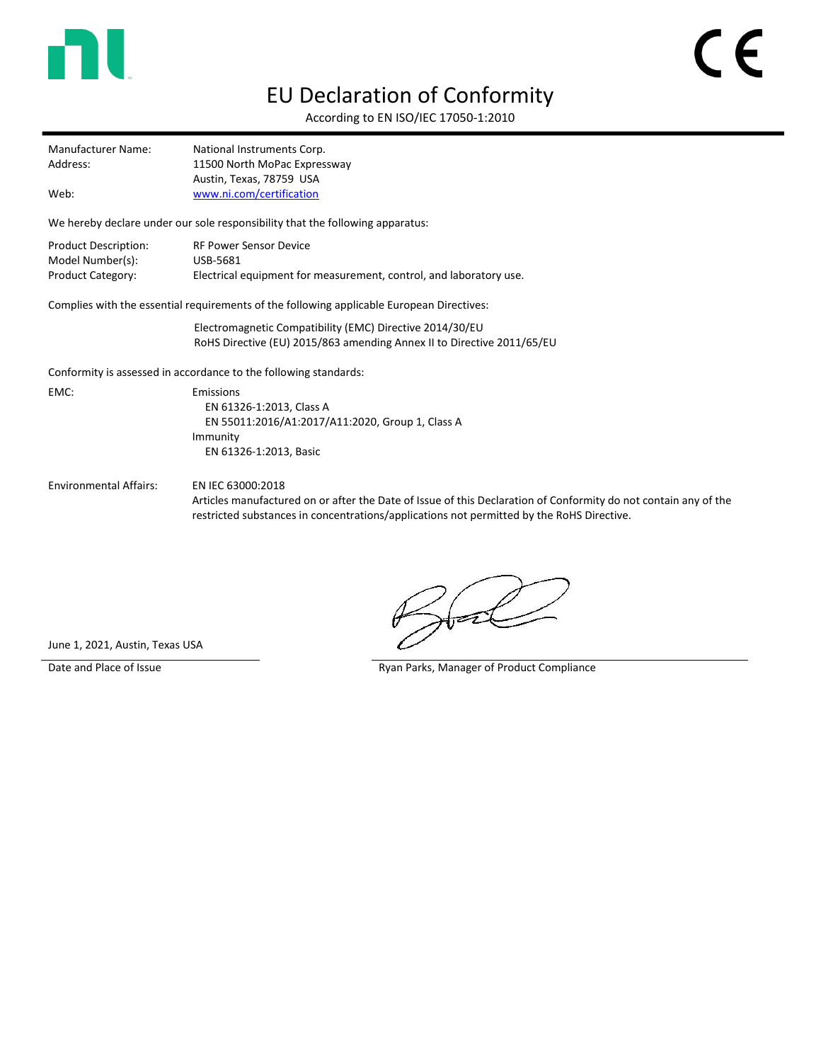

## EU Declaration of Conformity

According to EN ISO/IEC 17050-1:2010

| Í<br>$\blacklozenge$ |
|----------------------|
|                      |

Manufacturer Name: National Instruments Corp. Address: 11500 North MoPac Expressway Austin, Texas, 78759 USA Web: [www.ni.com/certification](http://www.ni.com/certification)

We hereby declare under our sole responsibility that the following apparatus:

| Product Description: | <b>RF Power Sensor Device</b>                                      |
|----------------------|--------------------------------------------------------------------|
| Model Number(s):     | USB-5681                                                           |
| Product Category:    | Electrical equipment for measurement, control, and laboratory use. |

Complies with the essential requirements of the following applicable European Directives:

Electromagnetic Compatibility (EMC) Directive 2014/30/EU RoHS Directive (EU) 2015/863 amending Annex II to Directive 2011/65/EU

Conformity is assessed in accordance to the following standards:

EMC: Emissions EN 61326-1:2013, Class A EN 55011:2016/A1:2017/A11:2020, Group 1, Class A Immunity EN 61326-1:2013, Basic

Environmental Affairs: EN IEC 63000:2018

Articles manufactured on or after the Date of Issue of this Declaration of Conformity do not contain any of the restricted substances in concentrations/applications not permitted by the RoHS Directive.

June 1, 2021, Austin, Texas USA

Date and Place of Issue **Ryan Parks, Manager of Product Compliance** Ryan Parks, Manager of Product Compliance